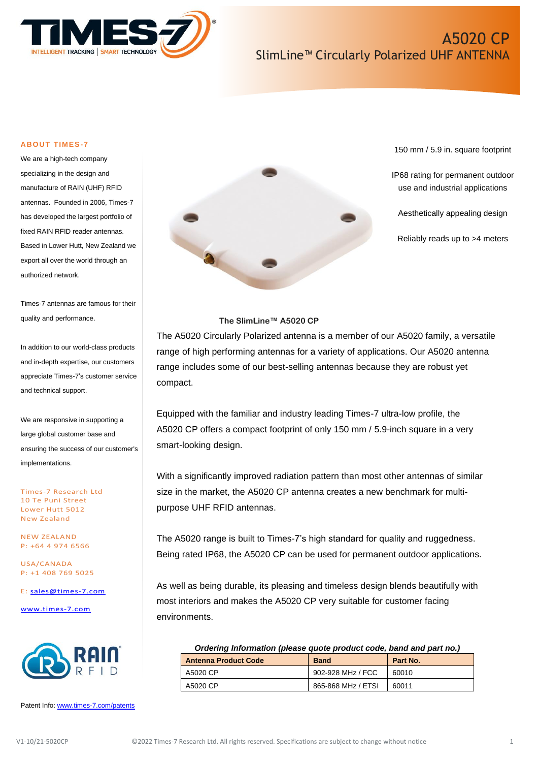

#### **ABOUT TIMES-7**

We are a high-tech company specializing in the design and manufacture of RAIN (UHF) RFID antennas. Founded in 2006, Times-7 has developed the largest portfolio of fixed RAIN RFID reader antennas. Based in Lower Hutt, New Zealand we export all over the world through an authorized network.

Times-7 antennas are famous for their quality and performance.

In addition to our world-class products and in-depth expertise, our customers appreciate Times-7's customer service and technical support.

We are responsive in supporting a large global customer base and ensuring the success of our customer's implementations.

Times-7 Research Ltd 10 Te Puni Street Lower Hutt 5012 New Zealand

NEW ZEALAND P: +64 4 974 6566

USA/CANADA P: +1 408 769 5025

E: [sales@times-7.com](mailto:sales@times-7.com)

[www.times-7.com](http://www.times-7.com/)



Patent Info[: www.times-7.com/patents](http://www.times-7.com/patents)



150 mm / 5.9 in. square footprint

IP68 rating for permanent outdoor use and industrial applications

Aesthetically appealing design

Reliably reads up to >4 meters

### **The SlimLine™ A5020 CP**

The A5020 Circularly Polarized antenna is a member of our A5020 family, a versatile range of high performing antennas for a variety of applications. Our A5020 antenna range includes some of our best-selling antennas because they are robust yet compact.

Equipped with the familiar and industry leading Times-7 ultra-low profile, the A5020 CP offers a compact footprint of only 150 mm / 5.9-inch square in a very smart-looking design.

With a significantly improved radiation pattern than most other antennas of similar size in the market, the A5020 CP antenna creates a new benchmark for multipurpose UHF RFID antennas.

The A5020 range is built to Times-7's high standard for quality and ruggedness. Being rated IP68, the A5020 CP can be used for permanent outdoor applications.

As well as being durable, its pleasing and timeless design blends beautifully with most interiors and makes the A5020 CP very suitable for customer facing environments.

| Ordering Information (please quote product code, band and part no.) |                    |          |  |
|---------------------------------------------------------------------|--------------------|----------|--|
| <b>Antenna Product Code</b>                                         | <b>Band</b>        | Part No. |  |
| A5020 CP                                                            | 902-928 MHz / FCC  | 60010    |  |
| A5020 CP                                                            | 865-868 MHz / ETSI | 60011    |  |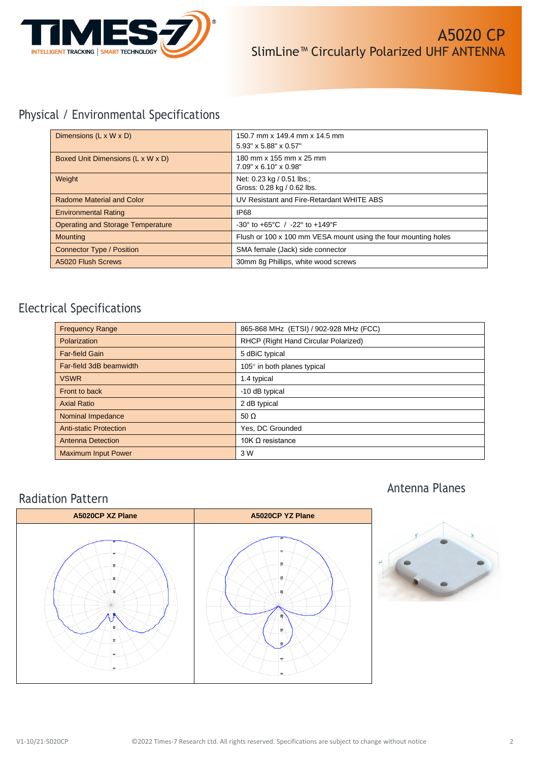

# Physical / Environmental Specifications

| Dimensions $(L \times W \times D)$       | 150.7 mm x 149.4 mm x 14.5 mm<br>5.93" x 5.88" x 0.57"               |
|------------------------------------------|----------------------------------------------------------------------|
| Boxed Unit Dimensions (L x W x D)        | 180 mm x 155 mm x 25 mm<br>7.09" x 6.10" x 0.98"                     |
| Weight                                   | Net: 0.23 kg / 0.51 lbs.;<br>Gross: 0.28 kg / 0.62 lbs.              |
| Radome Material and Color                | UV Resistant and Fire-Retardant WHITE ABS                            |
| <b>Environmental Rating</b>              | <b>IP68</b>                                                          |
| <b>Operating and Storage Temperature</b> | $-30^{\circ}$ to $+65^{\circ}$ C / $-22^{\circ}$ to $+149^{\circ}$ F |
| <b>Mounting</b>                          | Flush or 100 x 100 mm VESA mount using the four mounting holes       |
| <b>Connector Type / Position</b>         | SMA female (Jack) side connector                                     |
| A5020 Flush Screws                       | 30mm 8q Phillips, white wood screws                                  |

# Electrical Specifications

| <b>Frequency Range</b>        | 865-868 MHz (ETSI) / 902-928 MHz (FCC) |
|-------------------------------|----------------------------------------|
| Polarization                  | RHCP (Right Hand Circular Polarized)   |
| <b>Far-field Gain</b>         | 5 dBiC typical                         |
| Far-field 3dB beamwidth       | 105° in both planes typical            |
| <b>VSWR</b>                   | 1.4 typical                            |
| Front to back                 | -10 dB typical                         |
| <b>Axial Ratio</b>            | 2 dB typical                           |
| Nominal Impedance             | 50 $\Omega$                            |
| <b>Anti-static Protection</b> | Yes, DC Grounded                       |
| <b>Antenna Detection</b>      | 10K $\Omega$ resistance                |
| <b>Maximum Input Power</b>    | 3 W                                    |

## Radiation Pattern



# Antenna Planes

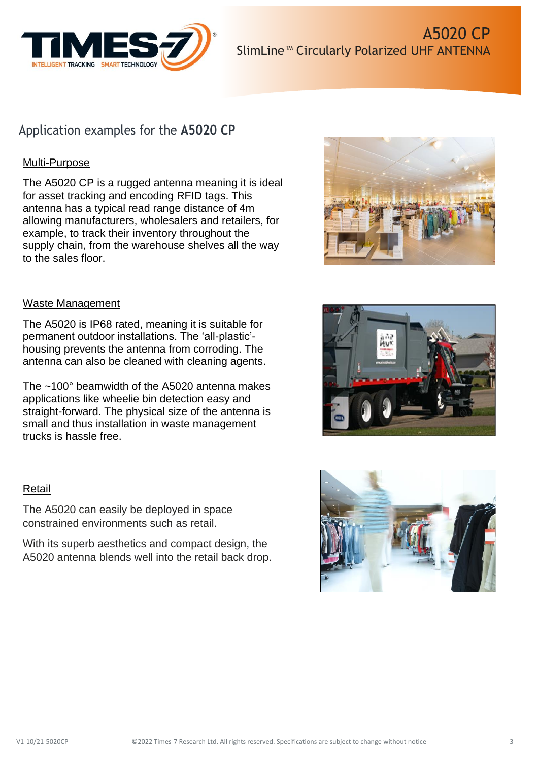

## Application examples for the **A5020 CP**

## Multi-Purpose

The A5020 CP is a rugged antenna meaning it is ideal for asset tracking and encoding RFID tags. This antenna has a typical read range distance of 4m allowing manufacturers, wholesalers and retailers, for example, to track their inventory throughout the supply chain, from the warehouse shelves all the way to the sales floor.

### Waste Management

The A5020 is IP68 rated, meaning it is suitable for permanent outdoor installations. The 'all-plastic' housing prevents the antenna from corroding. The antenna can also be cleaned with cleaning agents.

The ~100° beamwidth of the A5020 antenna makes applications like wheelie bin detection easy and straight-forward. The physical size of the antenna is small and thus installation in waste management trucks is hassle free.

### Retail

The A5020 can easily be deployed in space constrained environments such as retail.

With its superb aesthetics and compact design, the A5020 antenna blends well into the retail back drop.





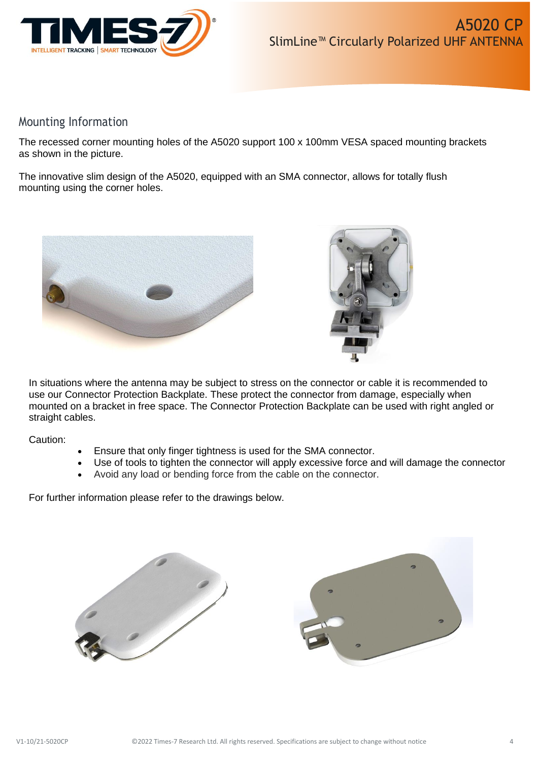

## Mounting Information

The recessed corner mounting holes of the A5020 support 100 x 100mm VESA spaced mounting brackets as shown in the picture.

The innovative slim design of the A5020, equipped with an SMA connector, allows for totally flush mounting using the corner holes.





In situations where the antenna may be subject to stress on the connector or cable it is recommended to use our Connector Protection Backplate. These protect the connector from damage, especially when mounted on a bracket in free space. The Connector Protection Backplate can be used with right angled or straight cables.

Caution:

- Ensure that only finger tightness is used for the SMA connector.
- Use of tools to tighten the connector will apply excessive force and will damage the connector
- Avoid any load or bending force from the cable on the connector.

For further information please refer to the drawings below.



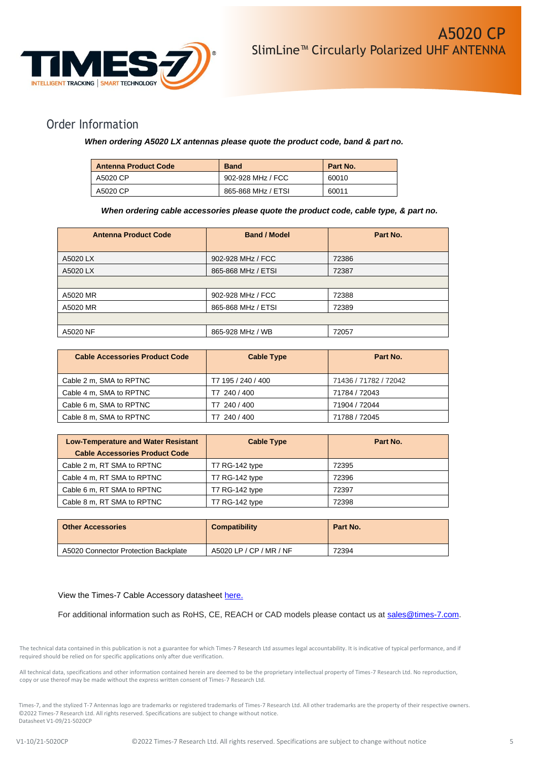

## Order Information

### *When ordering A5020 LX antennas please quote the product code, band & part no.*

| <b>Antenna Product Code</b> | <b>Band</b>        | Part No. |
|-----------------------------|--------------------|----------|
| A5020 CP                    | 902-928 MHz / FCC  | 60010    |
| A5020 CP                    | 865-868 MHz / ETSI | 60011    |

#### *When ordering cable accessories please quote the product code, cable type, & part no.*

| <b>Antenna Product Code</b> | <b>Band / Model</b> | Part No. |
|-----------------------------|---------------------|----------|
| A5020 LX                    | 902-928 MHz / FCC   | 72386    |
| A5020 LX                    | 865-868 MHz / ETSI  | 72387    |
|                             |                     |          |
| A5020 MR                    | 902-928 MHz / FCC   | 72388    |
| A5020 MR                    | 865-868 MHz / ETSI  | 72389    |
|                             |                     |          |
| A5020 NF                    | 865-928 MHz / WB    | 72057    |

| <b>Cable Accessories Product Code</b> | <b>Cable Type</b>  | Part No.              |
|---------------------------------------|--------------------|-----------------------|
| Cable 2 m, SMA to RPTNC               | T7 195 / 240 / 400 | 71436 / 71782 / 72042 |
| Cable 4 m, SMA to RPTNC               | T7 240 / 400       | 71784 / 72043         |
| Cable 6 m, SMA to RPTNC               | T7 240 / 400       | 71904 / 72044         |
| Cable 8 m, SMA to RPTNC               | 240 / 400          | 71788 / 72045         |

| <b>Low-Temperature and Water Resistant</b> | <b>Cable Type</b>     | Part No. |
|--------------------------------------------|-----------------------|----------|
| <b>Cable Accessories Product Code</b>      |                       |          |
| Cable 2 m, RT SMA to RPTNC                 | T7 RG-142 type        | 72395    |
| Cable 4 m, RT SMA to RPTNC                 | <b>T7 RG-142 type</b> | 72396    |
| Cable 6 m, RT SMA to RPTNC                 | T7 RG-142 type        | 72397    |
| Cable 8 m, RT SMA to RPTNC                 | T7 RG-142 type        | 72398    |

| <b>Other Accessories</b>             | <b>Compatibility</b>    | Part No. |
|--------------------------------------|-------------------------|----------|
| A5020 Connector Protection Backplate | A5020 LP / CP / MR / NF | 72394    |

#### View the Times-7 Cable Accessory datasheet [here.](https://www.times-7.com/Cable%20Datasheet_v1.1_A4.pdf)

For additional information such as RoHS, CE, REACH or CAD models please contact us at [sales@times-7.com.](mailto:sales@times-7.com)

The technical data contained in this publication is not a guarantee for which Times-7 Research Ltd assumes legal accountability. It is indicative of typical performance, and if required should be relied on for specific applications only after due verification.

All technical data, specifications and other information contained herein are deemed to be the proprietary intellectual property of Times-7 Research Ltd. No reproduction, copy or use thereof may be made without the express written consent of Times-7 Research Ltd.

Times-7, and the stylized T-7 Antennas logo are trademarks or registered trademarks of Times-7 Research Ltd. All other trademarks are the property of their respective owners. ©2022 Times-7 Research Ltd. All rights reserved. Specifications are subject to change without notice. Datasheet V1-09/21-5020CP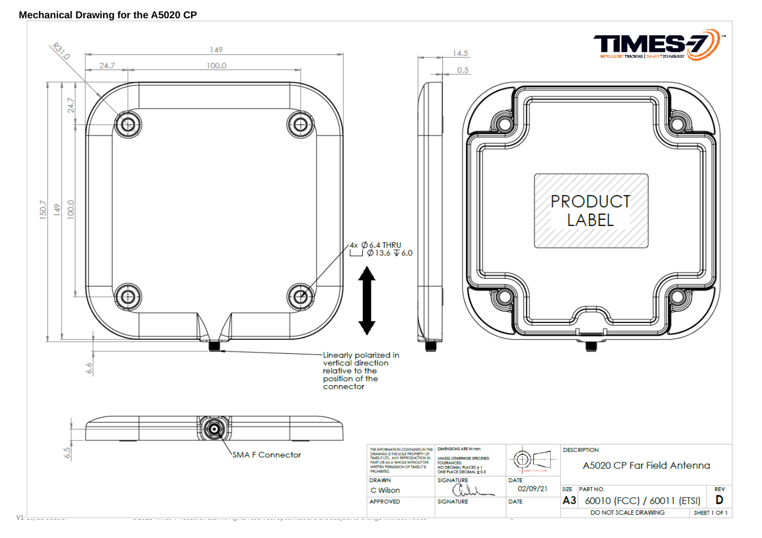### **Mechanical Drawing for the A5020 CP**